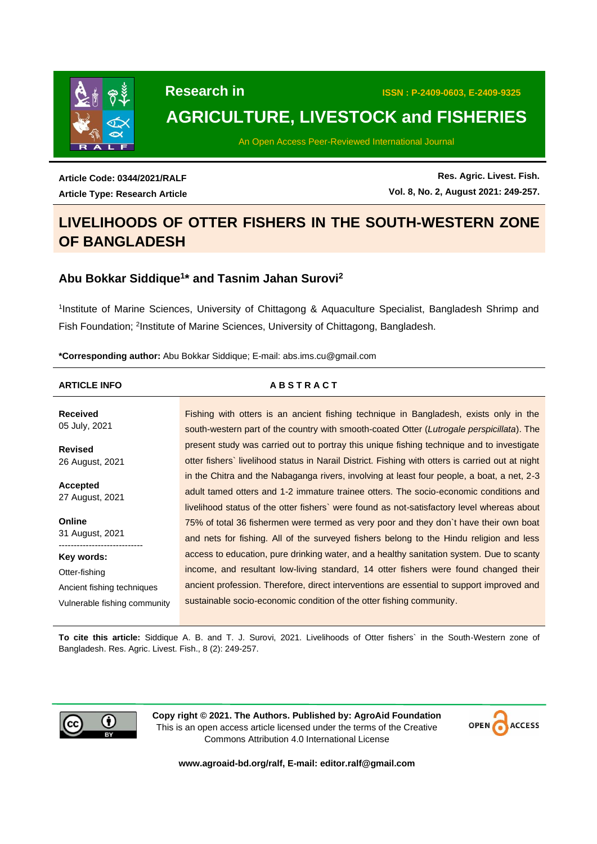

 **Research in ISSN : P-2409-0603, E-2409-9325**

# **AGRICULTURE, LIVESTOCK and FISHERIES**

An Open Access Peer-Reviewed International Journal

**Article Code: 0344/2021/RALF Article Type: Research Article**

**Res. Agric. Livest. Fish. Vol. 8, No. 2, August 2021: 249-257.**

# **LIVELIHOODS OF OTTER FISHERS IN THE SOUTH-WESTERN ZONE OF BANGLADESH**

# **1. Abu Bokkar Siddique<sup>1</sup> \* and Tasnim Jahan Surovi<sup>2</sup>**

1 Institute of Marine Sciences, University of Chittagong & Aquaculture Specialist, Bangladesh Shrimp and Fish Foundation; <sup>2</sup>Institute of Marine Sciences, University of Chittagong, Bangladesh.

**\*Corresponding author:** Abu Bokkar Siddique; E-mail: [abs.ims.cu@gmail.com](mailto:abs.ims.cu@gmail.com)

| <b>ARTICLE INFO</b>              | <b>ABSTRACT</b>                                                                                                                                                                                                                                                                   |
|----------------------------------|-----------------------------------------------------------------------------------------------------------------------------------------------------------------------------------------------------------------------------------------------------------------------------------|
| <b>Received</b><br>05 July, 2021 | Fishing with otters is an ancient fishing technique in Bangladesh, exists only in the<br>south-western part of the country with smooth-coated Otter (Lutrogale perspicillata). The                                                                                                |
| Revised<br>26 August, 2021       | present study was carried out to portray this unique fishing technique and to investigate<br>otter fishers' livelihood status in Narail District. Fishing with otters is carried out at night                                                                                     |
| Accepted<br>27 August, 2021      | in the Chitra and the Nabaganga rivers, involving at least four people, a boat, a net, 2-3<br>adult tamed otters and 1-2 immature trainee otters. The socio-economic conditions and<br>livelihood status of the otter fishers' were found as not-satisfactory level whereas about |
| Online<br>31 August, 2021        | 75% of total 36 fishermen were termed as very poor and they don't have their own boat<br>and nets for fishing. All of the surveyed fishers belong to the Hindu religion and less                                                                                                  |
| Key words:                       | access to education, pure drinking water, and a healthy sanitation system. Due to scanty                                                                                                                                                                                          |
| Otter-fishing                    | income, and resultant low-living standard, 14 otter fishers were found changed their                                                                                                                                                                                              |
| Ancient fishing techniques       | ancient profession. Therefore, direct interventions are essential to support improved and                                                                                                                                                                                         |
| Vulnerable fishing community     | sustainable socio-economic condition of the otter fishing community.                                                                                                                                                                                                              |

**To cite this article:** Siddique A. B. and T. J. Surovi, 2021. Livelihoods of Otter fishers` in the South-Western zone of Bangladesh. Res. Agric. Livest. Fish., 8 (2): 249-257.



**Copy right © 2021. The Authors. Published by: AgroAid Foundation** This is an open access article licensed under the terms of the Creative Commons Attribution 4.0 International License



**[www.agroaid-bd.org/ralf,](http://www.agroaid-bd.org/ralf) E-mail: [editor.ralf@gmail.com](mailto:editor.ralf@gmail.com)**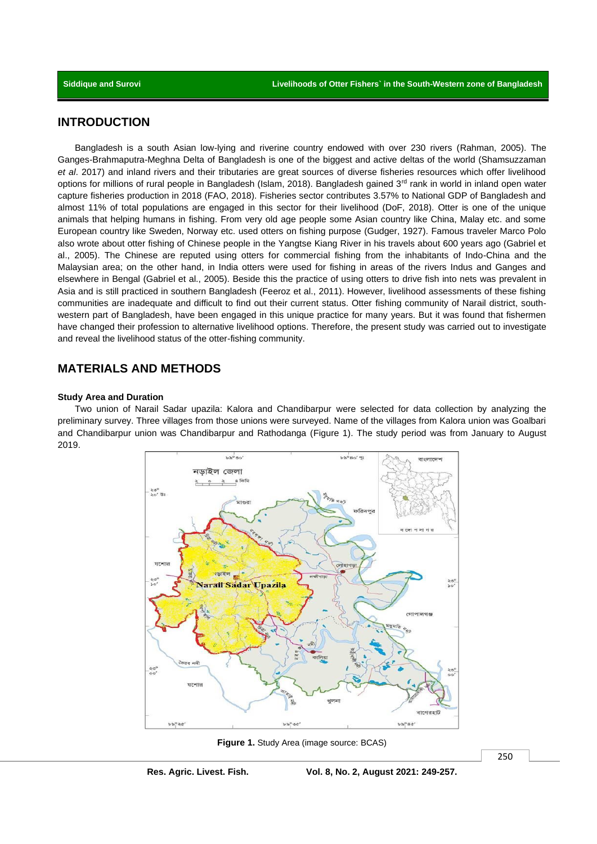# **INTRODUCTION**

Bangladesh is a south Asian low-lying and riverine country endowed with over 230 rivers (Rahman, 2005). The Ganges-Brahmaputra-Meghna Delta of Bangladesh is one of the biggest and active deltas of the world (Shamsuzzaman *et al*. 2017) and inland rivers and their tributaries are great sources of diverse fisheries resources which offer livelihood options for millions of rural people in Bangladesh (Islam, 2018). Bangladesh gained 3<sup>rd</sup> rank in world in inland open water capture fisheries production in 2018 (FAO, 2018). Fisheries sector contributes 3.57% to National GDP of Bangladesh and almost 11% of total populations are engaged in this sector for their livelihood (DoF, 2018). Otter is one of the unique animals that helping humans in fishing. From very old age people some Asian country like China, Malay etc. and some European country like Sweden, Norway etc. used otters on fishing purpose (Gudger, 1927). Famous traveler Marco Polo also wrote about otter fishing of Chinese people in the Yangtse Kiang River in his travels about 600 years ago (Gabriel et al., 2005). The Chinese are reputed using otters for commercial fishing from the inhabitants of Indo-China and the Malaysian area; on the other hand, in India otters were used for fishing in areas of the rivers Indus and Ganges and elsewhere in Bengal (Gabriel et al., 2005). Beside this the practice of using otters to drive fish into nets was prevalent in Asia and is still practiced in southern Bangladesh (Feeroz et al., 2011). However, livelihood assessments of these fishing communities are inadequate and difficult to find out their current status. Otter fishing community of Narail district, southwestern part of Bangladesh, have been engaged in this unique practice for many years. But it was found that fishermen have changed their profession to alternative livelihood options. Therefore, the present study was carried out to investigate and reveal the livelihood status of the otter-fishing community.

# **MATERIALS AND METHODS**

#### **Study Area and Duration**

Two union of Narail Sadar upazila: Kalora and Chandibarpur were selected for data collection by analyzing the preliminary survey. Three villages from those unions were surveyed. Name of the villages from Kalora union was Goalbari and Chandibarpur union was Chandibarpur and Rathodanga (Figure 1). The study period was from January to August 2019.



**Figure 1.** Study Area (image source: BCAS)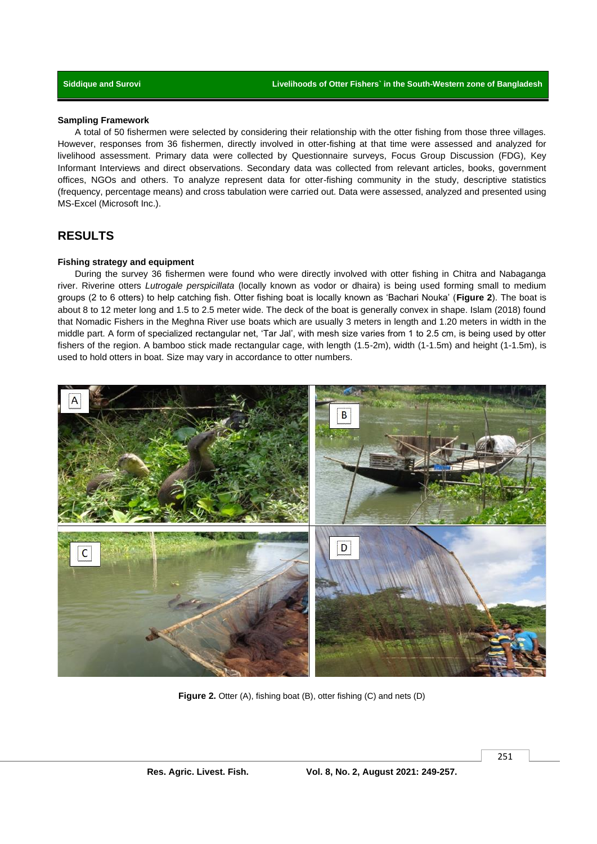#### **Sampling Framework**

A total of 50 fishermen were selected by considering their relationship with the otter fishing from those three villages. However, responses from 36 fishermen, directly involved in otter-fishing at that time were assessed and analyzed for livelihood assessment. Primary data were collected by Questionnaire surveys, Focus Group Discussion (FDG), Key Informant Interviews and direct observations. Secondary data was collected from relevant articles, books, government offices, NGOs and others. To analyze represent data for otter-fishing community in the study, descriptive statistics (frequency, percentage means) and cross tabulation were carried out. Data were assessed, analyzed and presented using MS-Excel (Microsoft Inc.).

# **RESULTS**

### **Fishing strategy and equipment**

During the survey 36 fishermen were found who were directly involved with otter fishing in Chitra and Nabaganga river. Riverine otters *Lutrogale perspicillata* (locally known as vodor or dhaira) is being used forming small to medium groups (2 to 6 otters) to help catching fish. Otter fishing boat is locally known as 'Bachari Nouka' (**Figure 2**). The boat is about 8 to 12 meter long and 1.5 to 2.5 meter wide. The deck of the boat is generally convex in shape. Islam (2018) found that Nomadic Fishers in the Meghna River use boats which are usually 3 meters in length and 1.20 meters in width in the middle part. A form of specialized rectangular net, 'Tar Jal', with mesh size varies from 1 to 2.5 cm, is being used by otter fishers of the region. A bamboo stick made rectangular cage, with length (1.5-2m), width (1-1.5m) and height (1-1.5m), is used to hold otters in boat. Size may vary in accordance to otter numbers.



**Figure 2.** Otter (A), fishing boat (B), otter fishing (C) and nets (D)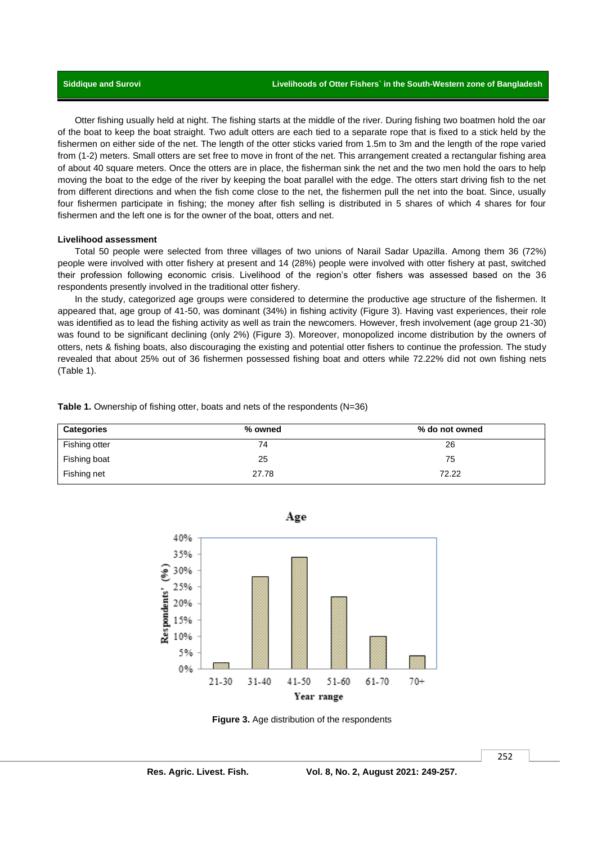Otter fishing usually held at night. The fishing starts at the middle of the river. During fishing two boatmen hold the oar of the boat to keep the boat straight. Two adult otters are each tied to a separate rope that is fixed to a stick held by the fishermen on either side of the net. The length of the otter sticks varied from 1.5m to 3m and the length of the rope varied from (1-2) meters. Small otters are set free to move in front of the net. This arrangement created a rectangular fishing area of about 40 square meters. Once the otters are in place, the fisherman sink the net and the two men hold the oars to help moving the boat to the edge of the river by keeping the boat parallel with the edge. The otters start driving fish to the net from different directions and when the fish come close to the net, the fishermen pull the net into the boat. Since, usually four fishermen participate in fishing; the money after fish selling is distributed in 5 shares of which 4 shares for four fishermen and the left one is for the owner of the boat, otters and net.

#### **Livelihood assessment**

Total 50 people were selected from three villages of two unions of Narail Sadar Upazilla. Among them 36 (72%) people were involved with otter fishery at present and 14 (28%) people were involved with otter fishery at past, switched their profession following economic crisis. Livelihood of the region's otter fishers was assessed based on the 36 respondents presently involved in the traditional otter fishery.

In the study, categorized age groups were considered to determine the productive age structure of the fishermen. It appeared that, age group of 41-50, was dominant (34%) in fishing activity (Figure 3). Having vast experiences, their role was identified as to lead the fishing activity as well as train the newcomers. However, fresh involvement (age group 21-30) was found to be significant declining (only 2%) (Figure 3). Moreover, monopolized income distribution by the owners of otters, nets & fishing boats, also discouraging the existing and potential otter fishers to continue the profession. The study revealed that about 25% out of 36 fishermen possessed fishing boat and otters while 72.22% did not own fishing nets (Table 1).

**Table 1.** Ownership of fishing otter, boats and nets of the respondents (N=36)

| <b>Categories</b> | % owned | % do not owned |
|-------------------|---------|----------------|
| Fishing otter     | 74      | 26             |
| Fishing boat      | 25      | 75             |
| Fishing net       | 27.78   | 72.22          |



**Figure 3.** Age distribution of the respondents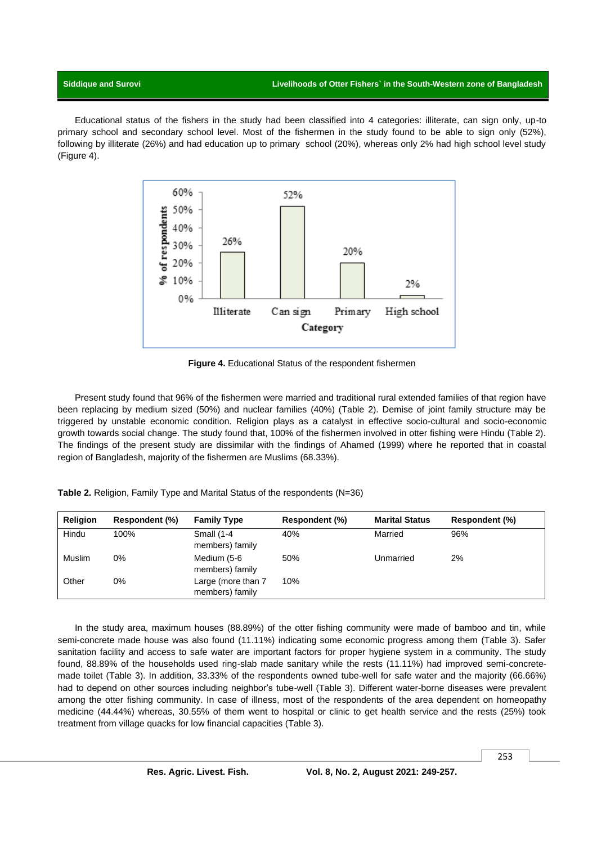### **Siddique and Surovi Livelihoods of Otter Fishers` in the South-Western zone of Bangladesh**

Educational status of the fishers in the study had been classified into 4 categories: illiterate, can sign only, up-to primary school and secondary school level. Most of the fishermen in the study found to be able to sign only (52%), following by illiterate (26%) and had education up to primary school (20%), whereas only 2% had high school level study (Figure 4).



**Figure 4.** Educational Status of the respondent fishermen

Present study found that 96% of the fishermen were married and traditional rural extended families of that region have been replacing by medium sized (50%) and nuclear families (40%) (Table 2). Demise of joint family structure may be triggered by unstable economic condition. Religion plays as a catalyst in effective socio-cultural and socio-economic growth towards social change. The study found that, 100% of the fishermen involved in otter fishing were Hindu (Table 2). The findings of the present study are dissimilar with the findings of Ahamed (1999) where he reported that in coastal region of Bangladesh, majority of the fishermen are Muslims (68.33%).

**Table 2.** Religion, Family Type and Marital Status of the respondents (N=36)

| <b>Religion</b> | Respondent (%) | <b>Family Type</b>                    | Respondent (%) | <b>Marital Status</b> | Respondent (%) |
|-----------------|----------------|---------------------------------------|----------------|-----------------------|----------------|
| Hindu           | 100%           | <b>Small (1-4</b><br>members) family  | 40%            | Married               | 96%            |
| Muslim          | 0%             | Medium (5-6<br>members) family        | 50%            | Unmarried             | 2%             |
| Other           | 0%             | Large (more than 7<br>members) family | 10%            |                       |                |

In the study area, maximum houses (88.89%) of the otter fishing community were made of bamboo and tin, while semi-concrete made house was also found (11.11%) indicating some economic progress among them (Table 3). Safer sanitation facility and access to safe water are important factors for proper hygiene system in a community. The study found, 88.89% of the households used ring-slab made sanitary while the rests (11.11%) had improved semi-concretemade toilet (Table 3). In addition, 33.33% of the respondents owned tube-well for safe water and the majority (66.66%) had to depend on other sources including neighbor's tube-well (Table 3). Different water-borne diseases were prevalent among the otter fishing community. In case of illness, most of the respondents of the area dependent on homeopathy medicine (44.44%) whereas, 30.55% of them went to hospital or clinic to get health service and the rests (25%) took treatment from village quacks for low financial capacities (Table 3).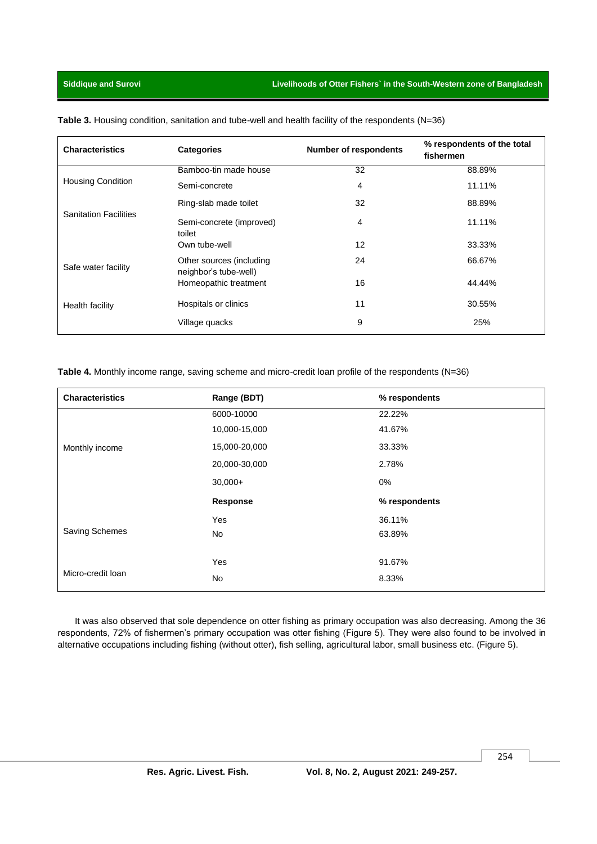| <b>Characteristics</b>       | <b>Categories</b>                                 | <b>Number of respondents</b> | % respondents of the total<br>fishermen |
|------------------------------|---------------------------------------------------|------------------------------|-----------------------------------------|
|                              | Bamboo-tin made house                             | 32                           | 88.89%                                  |
| <b>Housing Condition</b>     | Semi-concrete                                     | 4                            | 11.11%                                  |
| <b>Sanitation Facilities</b> | Ring-slab made toilet                             | 32                           | 88.89%                                  |
|                              | Semi-concrete (improved)<br>toilet                | 4                            | 11.11%                                  |
|                              | Own tube-well                                     | 12                           | 33.33%                                  |
| Safe water facility          | Other sources (including<br>neighbor's tube-well) | 24                           | 66.67%                                  |
|                              | Homeopathic treatment                             | 16                           | 44.44%                                  |
| Health facility              | Hospitals or clinics                              | 11                           | 30.55%                                  |
|                              | Village quacks                                    | 9                            | 25%                                     |

Table 3. Housing condition, sanitation and tube-well and health facility of the respondents (N=36)

**Table 4.** Monthly income range, saving scheme and micro-credit loan profile of the respondents (N=36)

| <b>Characteristics</b> | Range (BDT)   | % respondents |
|------------------------|---------------|---------------|
|                        | 6000-10000    | 22.22%        |
|                        | 10,000-15,000 | 41.67%        |
| Monthly income         | 15,000-20,000 | 33.33%        |
|                        | 20,000-30,000 | 2.78%         |
|                        | $30,000+$     | 0%            |
|                        | Response      | % respondents |
|                        | Yes           | 36.11%        |
| Saving Schemes         | No            | 63.89%        |
|                        |               |               |
|                        | Yes           | 91.67%        |
| Micro-credit Ioan      | No            | 8.33%         |

It was also observed that sole dependence on otter fishing as primary occupation was also decreasing. Among the 36 respondents, 72% of fishermen's primary occupation was otter fishing (Figure 5). They were also found to be involved in alternative occupations including fishing (without otter), fish selling, agricultural labor, small business etc. (Figure 5).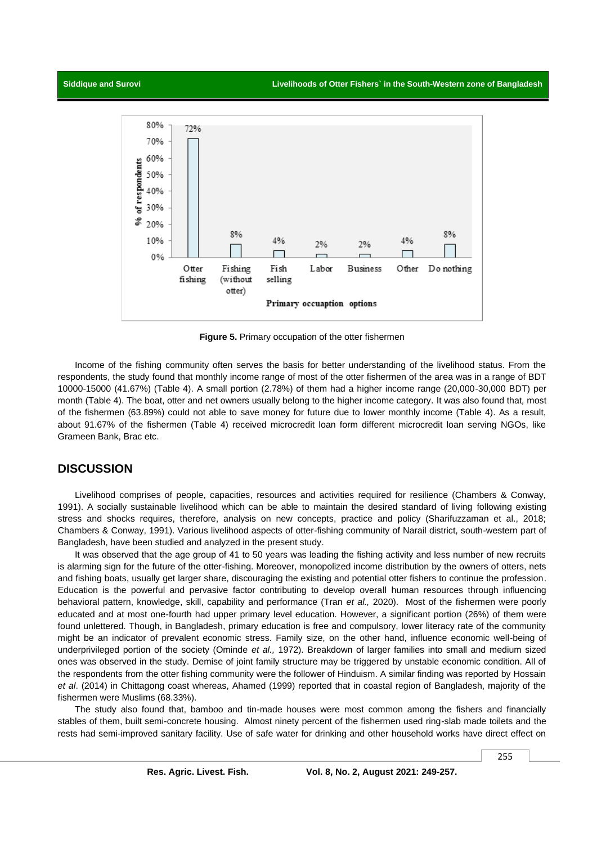

**Figure 5.** Primary occupation of the otter fishermen

Income of the fishing community often serves the basis for better understanding of the livelihood status. From the respondents, the study found that monthly income range of most of the otter fishermen of the area was in a range of BDT 10000-15000 (41.67%) (Table 4). A small portion (2.78%) of them had a higher income range (20,000-30,000 BDT) per month (Table 4). The boat, otter and net owners usually belong to the higher income category. It was also found that*,* most of the fishermen (63.89%) could not able to save money for future due to lower monthly income (Table 4). As a result, about 91.67% of the fishermen (Table 4) received microcredit loan form different microcredit loan serving NGOs, like Grameen Bank, Brac etc.

# **DISCUSSION**

Livelihood comprises of people, capacities, resources and activities required for resilience (Chambers & Conway, 1991). A socially sustainable livelihood which can be able to maintain the desired standard of living following existing stress and shocks requires, therefore, analysis on new concepts, practice and policy (Sharifuzzaman et al., 2018; Chambers & Conway, 1991). Various livelihood aspects of otter-fishing community of Narail district, south-western part of Bangladesh, have been studied and analyzed in the present study.

It was observed that the age group of 41 to 50 years was leading the fishing activity and less number of new recruits is alarming sign for the future of the otter-fishing. Moreover, monopolized income distribution by the owners of otters, nets and fishing boats, usually get larger share, discouraging the existing and potential otter fishers to continue the profession. Education is the powerful and pervasive factor contributing to develop overall human resources through influencing behavioral pattern, knowledge, skill, capability and performance (Tran *et al.,* 2020). Most of the fishermen were poorly educated and at most one-fourth had upper primary level education. However, a significant portion (26%) of them were found unlettered. Though, in Bangladesh, primary education is free and compulsory, lower literacy rate of the community might be an indicator of prevalent economic stress. Family size, on the other hand, influence economic well-being of underprivileged portion of the society (Ominde *et al.,* 1972). Breakdown of larger families into small and medium sized ones was observed in the study. Demise of joint family structure may be triggered by unstable economic condition. All of the respondents from the otter fishing community were the follower of Hinduism. A similar finding was reported by Hossain *et al*. (2014) in Chittagong coast whereas, Ahamed (1999) reported that in coastal region of Bangladesh, majority of the fishermen were Muslims (68.33%).

The study also found that, bamboo and tin-made houses were most common among the fishers and financially stables of them, built semi-concrete housing. Almost ninety percent of the fishermen used ring-slab made toilets and the rests had semi-improved sanitary facility. Use of safe water for drinking and other household works have direct effect on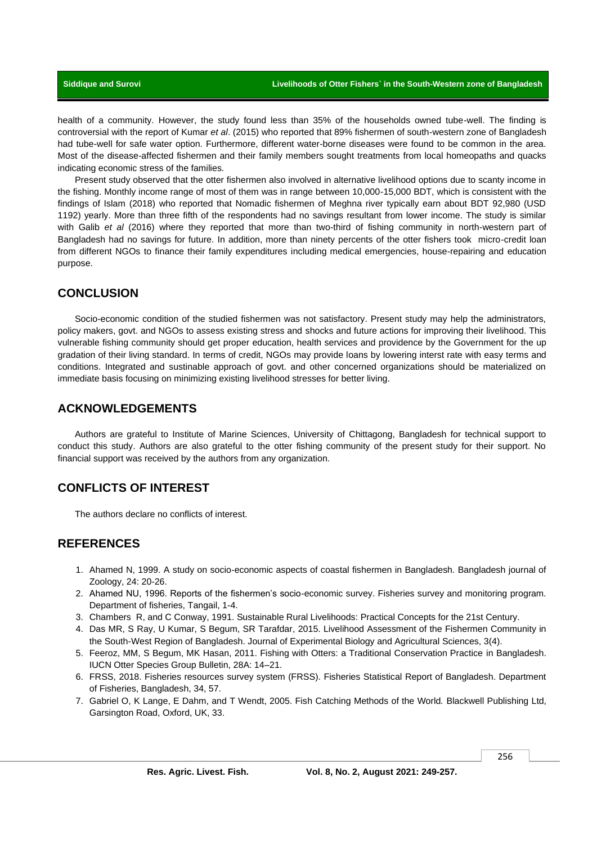health of a community. However, the study found less than 35% of the households owned tube-well. The finding is controversial with the report of Kumar *et al*. (2015) who reported that 89% fishermen of south-western zone of Bangladesh had tube-well for safe water option. Furthermore, different water-borne diseases were found to be common in the area. Most of the disease-affected fishermen and their family members sought treatments from local homeopaths and quacks indicating economic stress of the families.

Present study observed that the otter fishermen also involved in alternative livelihood options due to scanty income in the fishing. Monthly income range of most of them was in range between 10,000-15,000 BDT, which is consistent with the findings of Islam (2018) who reported that Nomadic fishermen of Meghna river typically earn about BDT 92,980 (USD 1192) yearly. More than three fifth of the respondents had no savings resultant from lower income. The study is similar with Galib *et al* (2016) where they reported that more than two-third of fishing community in north-western part of Bangladesh had no savings for future. In addition, more than ninety percents of the otter fishers took micro-credit loan from different NGOs to finance their family expenditures including medical emergencies, house-repairing and education purpose.

## **CONCLUSION**

Socio-economic condition of the studied fishermen was not satisfactory. Present study may help the administrators, policy makers, govt. and NGOs to assess existing stress and shocks and future actions for improving their livelihood. This vulnerable fishing community should get proper education, health services and providence by the Government for the up gradation of their living standard. In terms of credit, NGOs may provide loans by lowering interst rate with easy terms and conditions. Integrated and sustinable approach of govt. and other concerned organizations should be materialized on immediate basis focusing on minimizing existing livelihood stresses for better living.

## **ACKNOWLEDGEMENTS**

Authors are grateful to Institute of Marine Sciences, University of Chittagong, Bangladesh for technical support to conduct this study. Authors are also grateful to the otter fishing community of the present study for their support. No financial support was received by the authors from any organization.

# **CONFLICTS OF INTEREST**

The authors declare no conflicts of interest.

# **REFERENCES**

- 1. Ahamed N, 1999. A study on socio-economic aspects of coastal fishermen in Bangladesh. Bangladesh journal of Zoology, 24: 20-26.
- 2. Ahamed NU, 1996. Reports of the fishermen's socio-economic survey. Fisheries survey and monitoring program. Department of fisheries, Tangail, 1-4.
- 3. Chambers R, and C Conway, 1991. Sustainable Rural Livelihoods: Practical Concepts for the 21st Century.
- 4. Das MR, S Ray, U Kumar, S Begum, SR Tarafdar, 2015. Livelihood Assessment of the Fishermen Community in the South-West Region of Bangladesh. Journal of Experimental Biology and Agricultural Sciences, 3(4).
- 5. Feeroz, MM, S Begum, MK Hasan, 2011. Fishing with Otters: a Traditional Conservation Practice in Bangladesh. IUCN Otter Species Group Bulletin, 28A: 14–21.
- 6. FRSS, 2018. Fisheries resources survey system (FRSS). Fisheries Statistical Report of Bangladesh. Department of Fisheries, Bangladesh, 34, 57.
- 7. Gabriel O, K Lange, E Dahm, and T Wendt, 2005. Fish Catching Methods of the World*.* Blackwell Publishing Ltd, Garsington Road, Oxford, UK, 33.